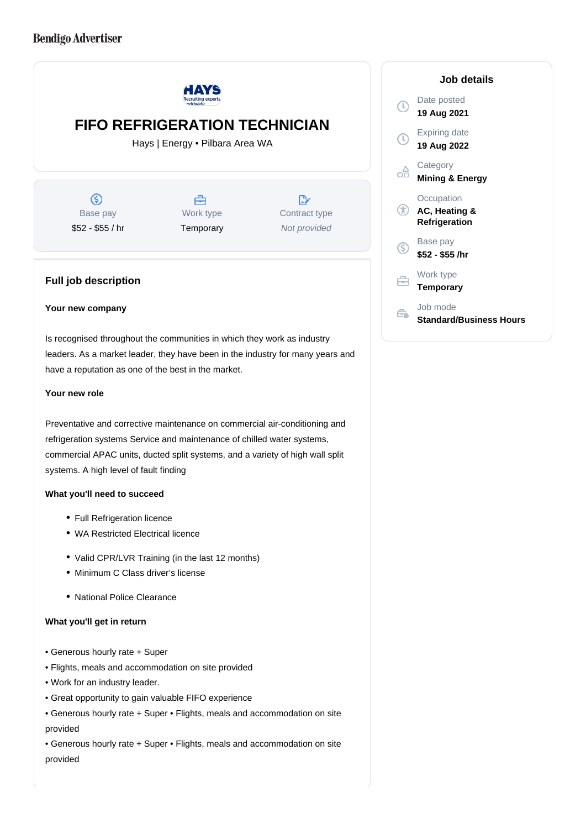

leaders. As a market leader, they have been in the industry for many years and have a reputation as one of the best in the market.

### **Your new role**

Preventative and corrective maintenance on commercial air-conditioning and refrigeration systems Service and maintenance of chilled water systems, commercial APAC units, ducted split systems, and a variety of high wall split systems. A high level of fault finding

### **What you'll need to succeed**

- Full Refrigeration licence
- WA Restricted Electrical licence
- Valid CPR/LVR Training (in the last 12 months)
- Minimum C Class driver's license
- National Police Clearance

## **What you'll get in return**

- Generous hourly rate + Super
- Flights, meals and accommodation on site provided
- Work for an industry leader.
- Great opportunity to gain valuable FIFO experience
- Generous hourly rate + Super Flights, meals and accommodation on site provided
- Generous hourly rate + Super Flights, meals and accommodation on site provided

# **Job details**